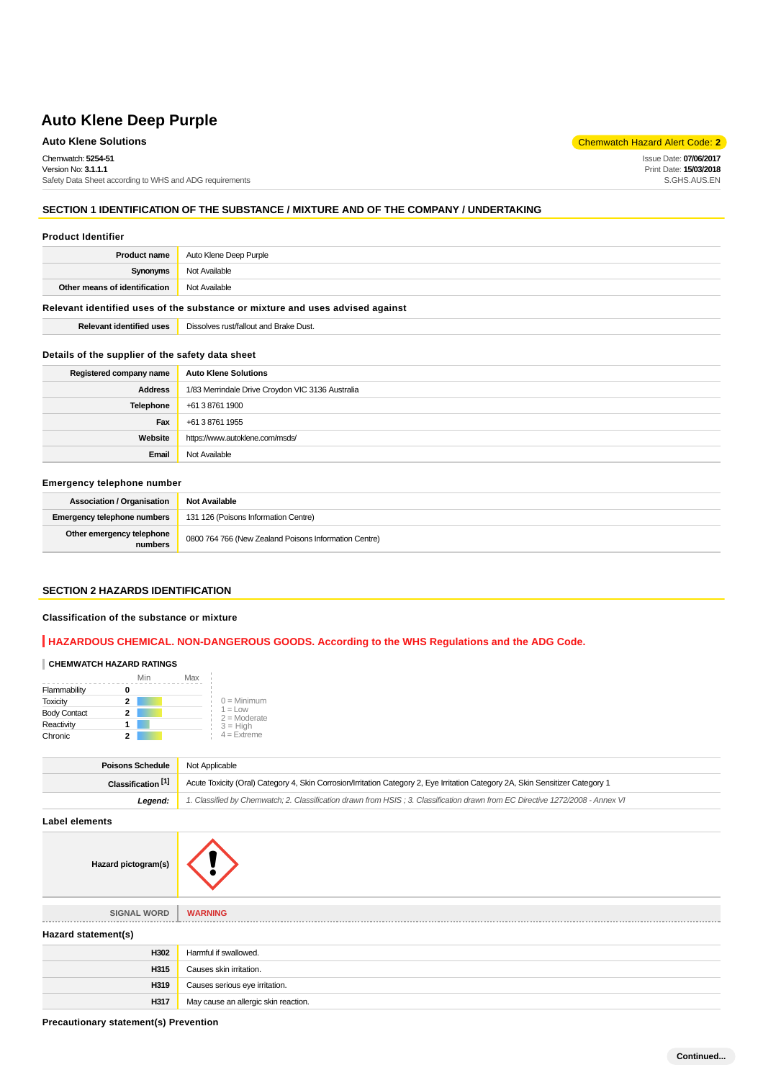## **Auto Klene Solutions** Chemwatch Hazard Alert Code: 2<sup>1</sup>

Chemwatch: **5254-51**

Version No: **3.1.1.1** Safety Data Sheet according to WHS and ADG requirements

## **SECTION 1 IDENTIFICATION OF THE SUBSTANCE / MIXTURE AND OF THE COMPANY / UNDERTAKING**

#### **Product Identifier**

| <b>Product name</b>                                                           | Auto Klene Deep Purple |
|-------------------------------------------------------------------------------|------------------------|
| Synonyms                                                                      | Not Available          |
| Other means of identification                                                 | Not Available          |
| Relevant identified uses of the substance or mixture and uses advised against |                        |

# **Details of the supplier of the safety data sheet**

| Registered company name | <b>Auto Klene Solutions</b>                      |  |
|-------------------------|--------------------------------------------------|--|
| <b>Address</b>          | 1/83 Merrindale Drive Croydon VIC 3136 Australia |  |
| Telephone               | +61 3 8761 1900                                  |  |
| Fax                     | +61 3 8761 1955                                  |  |
| Website                 | https://www.autoklene.com/msds/                  |  |
| Email                   | Not Available                                    |  |

### **Emergency telephone number**

| <b>Association / Organisation</b>    | <b>Not Available</b>                                  |  |
|--------------------------------------|-------------------------------------------------------|--|
| <b>Emergency telephone numbers</b>   | 131 126 (Poisons Information Centre)                  |  |
| Other emergency telephone<br>numbers | 0800 764 766 (New Zealand Poisons Information Centre) |  |

#### **SECTION 2 HAZARDS IDENTIFICATION**

#### **Classification of the substance or mixture**

## **HAZARDOUS CHEMICAL. NON-DANGEROUS GOODS. According to the WHS Regulations and the ADG Code.**

#### **CHEMWATCH HAZARD RATINGS**

|                     | Min | Max |                              |
|---------------------|-----|-----|------------------------------|
| Flammability        |     |     |                              |
| <b>Toxicity</b>     | 2   |     | $0 =$ Minimum                |
| <b>Body Contact</b> | 2   |     | $1 = 1$ OW<br>$2 =$ Moderate |
| Reactivity          |     |     | $3 = H$ iah                  |
| Chronic             |     |     | $4 =$ Extreme                |

| <b>Poisons Schedule</b> Not Applicable |                                                                                                                                |  |
|----------------------------------------|--------------------------------------------------------------------------------------------------------------------------------|--|
| Classification <sup>[1]</sup>          | Acute Toxicity (Oral) Category 4, Skin Corrosion/Irritation Category 2, Eye Irritation Category 2A, Skin Sensitizer Category 1 |  |
| Leaend:                                | 1. Classified by Chemwatch; 2. Classification drawn from HSIS; 3. Classification drawn from EC Directive 1272/2008 - Annex VI  |  |

**Label elements**

**Hazard pictogram(s)**

| <b>SIGNAL WORD</b>  | <b>WARNING</b>                       |
|---------------------|--------------------------------------|
| Hazard statement(s) |                                      |
| H302                | Harmful if swallowed.                |
| H315                | Causes skin irritation.              |
| H319                | Causes serious eye irritation.       |
| H317                | May cause an allergic skin reaction. |

**Precautionary statement(s) Prevention**

Issue Date: **07/06/2017** Print Date: **15/03/2018** S.GHS.AUS.EN

**Relevant identified uses** Dissolves rust/fallout and Brake Dust.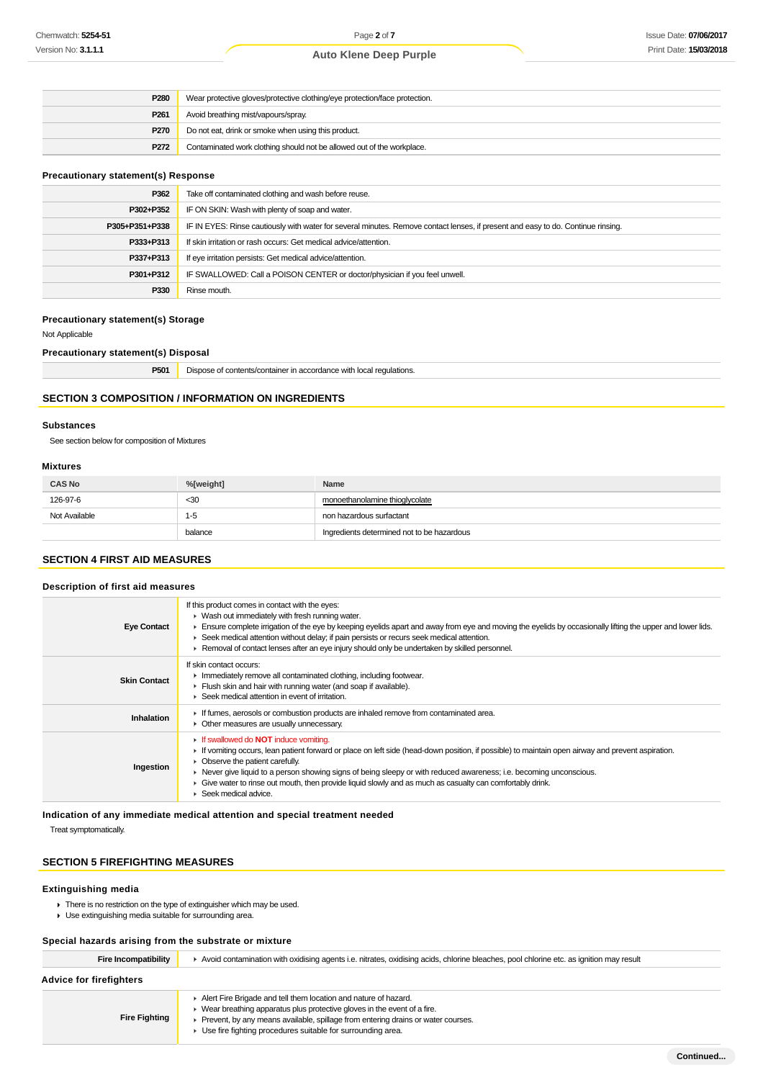| P <sub>280</sub> | Wear protective gloves/protective clothing/eye protection/face protection. |  |
|------------------|----------------------------------------------------------------------------|--|
| P <sub>261</sub> | Avoid breathing mist/vapours/spray.                                        |  |
| <b>P270</b>      | Do not eat, drink or smoke when using this product.                        |  |
| P <sub>272</sub> | Contaminated work clothing should not be allowed out of the workplace.     |  |

## **Precautionary statement(s) Response**

| P362           | Take off contaminated clothing and wash before reuse.                                                                            |
|----------------|----------------------------------------------------------------------------------------------------------------------------------|
| P302+P352      | IF ON SKIN: Wash with plenty of soap and water.                                                                                  |
| P305+P351+P338 | IF IN EYES: Rinse cautiously with water for several minutes. Remove contact lenses, if present and easy to do. Continue rinsing. |
| P333+P313      | If skin irritation or rash occurs: Get medical advice/attention.                                                                 |
| P337+P313      | If eye irritation persists: Get medical advice/attention.                                                                        |
| P301+P312      | IF SWALLOWED: Call a POISON CENTER or doctor/physician if you feel unwell.                                                       |
| P330           | Rinse mouth.                                                                                                                     |

#### **Precautionary statement(s) Storage**

Not Applicable

**Precautionary statement(s) Disposal**

| P501 | Dispose of contents/container in accordance with local regulations. |
|------|---------------------------------------------------------------------|
|------|---------------------------------------------------------------------|

## **SECTION 3 COMPOSITION / INFORMATION ON INGREDIENTS**

#### **Substances**

See section below for composition of Mixtures

#### **Mixtures**

| <b>CAS No</b> | %[weight] | Name                                       |
|---------------|-----------|--------------------------------------------|
| 126-97-6      | $30$      | monoethanolamine thioglycolate             |
| Not Available | $1 - 5$   | non hazardous surfactant                   |
|               | balance   | Ingredients determined not to be hazardous |

## **SECTION 4 FIRST AID MEASURES**

## **Description of first aid measures**

| <b>Eye Contact</b>  | If this product comes in contact with the eyes:<br>• Wash out immediately with fresh running water.<br>Ensure complete irrigation of the eye by keeping eyelids apart and away from eye and moving the eyelids by occasionally lifting the upper and lower lids.<br>► Seek medical attention without delay; if pain persists or recurs seek medical attention.<br>► Removal of contact lenses after an eye injury should only be undertaken by skilled personnel.                                                                   |
|---------------------|-------------------------------------------------------------------------------------------------------------------------------------------------------------------------------------------------------------------------------------------------------------------------------------------------------------------------------------------------------------------------------------------------------------------------------------------------------------------------------------------------------------------------------------|
| <b>Skin Contact</b> | If skin contact occurs:<br>Immediately remove all contaminated clothing, including footwear.<br>Flush skin and hair with running water (and soap if available).<br>► Seek medical attention in event of irritation.                                                                                                                                                                                                                                                                                                                 |
| Inhalation          | If fumes, aerosols or combustion products are inhaled remove from contaminated area.<br>• Other measures are usually unnecessary.                                                                                                                                                                                                                                                                                                                                                                                                   |
| Ingestion           | If swallowed do <b>NOT</b> induce vomiting.<br>If vomiting occurs, lean patient forward or place on left side (head-down position, if possible) to maintain open airway and prevent aspiration.<br>$\triangleright$ Observe the patient carefully.<br>► Never give liquid to a person showing signs of being sleepy or with reduced awareness; i.e. becoming unconscious.<br>$\blacktriangleright$ Give water to rinse out mouth, then provide liquid slowly and as much as casualty can comfortably drink.<br>Seek medical advice. |

**Indication of any immediate medical attention and special treatment needed**

Treat symptomatically.

## **SECTION 5 FIREFIGHTING MEASURES**

#### **Extinguishing media**

 $\blacktriangleright$  There is no restriction on the type of extinguisher which may be used.

Use extinguishing media suitable for surrounding area.

## **Special hazards arising from the substrate or mixture**

| opoolal hazardo ahollig holli tho oabotrato or illixtaro |                                                                                                                                                                                                                                  |  |
|----------------------------------------------------------|----------------------------------------------------------------------------------------------------------------------------------------------------------------------------------------------------------------------------------|--|
| Fire Incompatibility                                     | ► Avoid contamination with oxidising agents i.e. nitrates, oxidising acids, chlorine bleaches, pool chlorine etc. as ignition may result                                                                                         |  |
| <b>Advice for firefighters</b>                           |                                                                                                                                                                                                                                  |  |
| <b>Fire Fighting</b>                                     | Alert Fire Brigade and tell them location and nature of hazard.<br>▶ Wear breathing apparatus plus protective gloves in the event of a fire.<br>Prevent, by any means available, spillage from entering drains or water courses. |  |

Use fire fighting procedures suitable for surrounding area.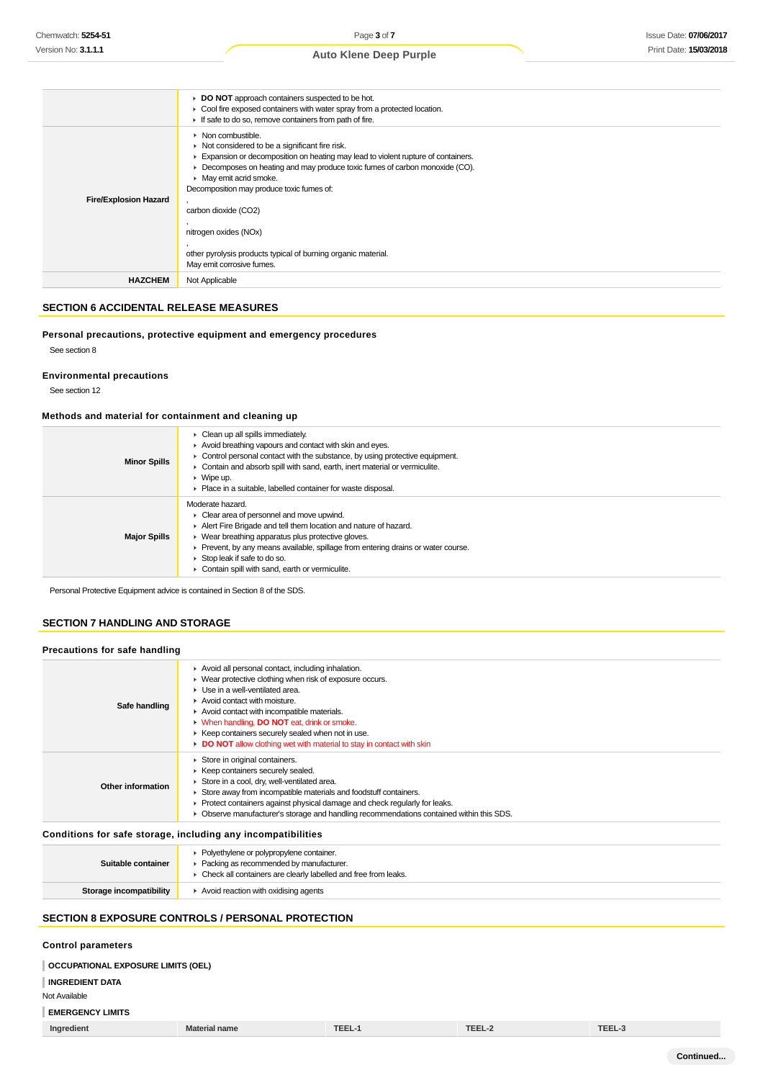#### **DO NOT** approach containers suspected to be hot. Cool fire exposed containers with water spray from a protected location. If safe to do so, remove containers from path of fire. **Fire/Explosion Hazard** • Non combustible.  $\blacktriangleright$  Not considered to be a significant fire risk. Expansion or decomposition on heating may lead to violent rupture of containers. Decomposes on heating and may produce toxic fumes of carbon monoxide (CO). **May emit acrid smoke.** Decomposition may produce toxic fumes of: , carbon dioxide (CO2) , nitrogen oxides (NOx) , other pyrolysis products typical of burning organic material. May emit corrosive fumes. **HAZCHEM** Not Applicable

## **SECTION 6 ACCIDENTAL RELEASE MEASURES**

## **Personal precautions, protective equipment and emergency procedures**

See section 8

## **Environmental precautions**

See section 12

#### **Methods and material for containment and cleaning up**

| <b>Minor Spills</b> | $\triangleright$ Clean up all spills immediately.<br>Avoid breathing vapours and contact with skin and eyes.<br>$\triangleright$ Control personal contact with the substance, by using protective equipment.<br>• Contain and absorb spill with sand, earth, inert material or vermiculite.<br>$\triangleright$ Wipe up.<br>▶ Place in a suitable, labelled container for waste disposal. |
|---------------------|-------------------------------------------------------------------------------------------------------------------------------------------------------------------------------------------------------------------------------------------------------------------------------------------------------------------------------------------------------------------------------------------|
| <b>Major Spills</b> | Moderate hazard.<br>• Clear area of personnel and move upwind.<br>Alert Fire Brigade and tell them location and nature of hazard.<br>$\triangleright$ Wear breathing apparatus plus protective gloves.<br>Prevent, by any means available, spillage from entering drains or water course.<br>Stop leak if safe to do so.<br>Contain spill with sand, earth or vermiculite.                |

Personal Protective Equipment advice is contained in Section 8 of the SDS.

## **SECTION 7 HANDLING AND STORAGE**

#### **Precautions for safe handling Safe handling** Avoid all personal contact, including inhalation. Wear protective clothing when risk of exposure occurs. ▶ Use in a well-ventilated area. ▶ Avoid contact with moisture. Avoid contact with incompatible materials. When handling, **DO NOT** eat, drink or smoke.  $\blacktriangleright$  Keep containers securely sealed when not in use. **DO NOT** allow clothing wet with material to stay in contact with skin **Other information** ▶ Store in original containers.  $\blacktriangleright$  Keep containers securely sealed. Store in a cool, dry, well-ventilated area. Store away from incompatible materials and foodstuff containers. Protect containers against physical damage and check regularly for leaks. Observe manufacturer's storage and handling recommendations contained within this SDS.

## **Conditions for safe storage, including any incompatibilities**

| Suitable container      | • Polyethylene or polypropylene container.<br>• Packing as recommended by manufacturer.<br>• Check all containers are clearly labelled and free from leaks. |
|-------------------------|-------------------------------------------------------------------------------------------------------------------------------------------------------------|
| Storage incompatibility | Avoid reaction with oxidising agents                                                                                                                        |
|                         |                                                                                                                                                             |

## **SECTION 8 EXPOSURE CONTROLS / PERSONAL PROTECTION**

## **Control parameters**

## **OCCUPATIONAL EXPOSURE LIMITS (OEL)**

**INGREDIENT DATA**

## Not Available

**EMERGENCY LIMITS**

**Ingredient Material name TEEL-1 TEEL-2 TEEL-3**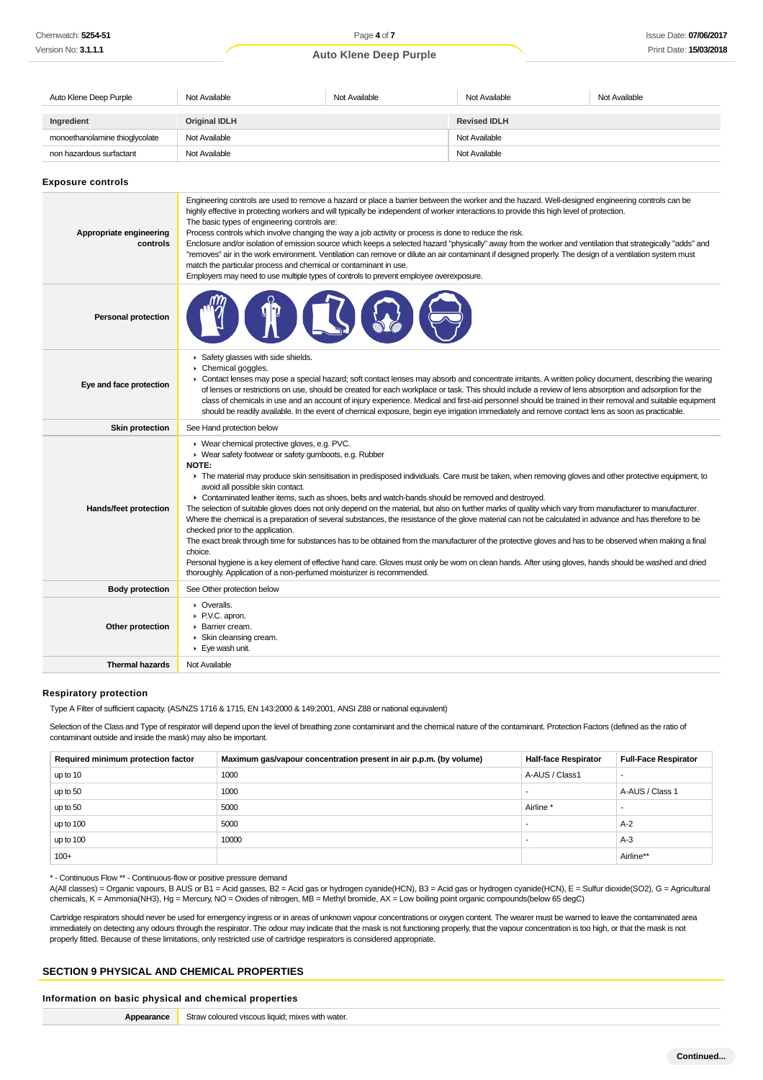| Auto Klene Deep Purple         | Not Available        | Not Available | Not Available       | Not Available |
|--------------------------------|----------------------|---------------|---------------------|---------------|
| Ingredient                     | <b>Original IDLH</b> |               | <b>Revised IDLH</b> |               |
|                                |                      |               |                     |               |
| monoethanolamine thioglycolate | Not Available        |               | Not Available       |               |
| non hazardous surfactant       | Not Available        |               | Not Available       |               |

**Exposure controls**

| Appropriate engineering<br>controls | Engineering controls are used to remove a hazard or place a barrier between the worker and the hazard. Well-designed engineering controls can be<br>highly effective in protecting workers and will typically be independent of worker interactions to provide this high level of protection.<br>The basic types of engineering controls are:<br>Process controls which involve changing the way a job activity or process is done to reduce the risk.<br>Enclosure and/or isolation of emission source which keeps a selected hazard "physically" away from the worker and ventilation that strategically "adds" and<br>"removes" air in the work environment. Ventilation can remove or dilute an air contaminant if designed properly. The design of a ventilation system must<br>match the particular process and chemical or contaminant in use.<br>Employers may need to use multiple types of controls to prevent employee overexposure.                                                                                                                                                                                                                                              |
|-------------------------------------|----------------------------------------------------------------------------------------------------------------------------------------------------------------------------------------------------------------------------------------------------------------------------------------------------------------------------------------------------------------------------------------------------------------------------------------------------------------------------------------------------------------------------------------------------------------------------------------------------------------------------------------------------------------------------------------------------------------------------------------------------------------------------------------------------------------------------------------------------------------------------------------------------------------------------------------------------------------------------------------------------------------------------------------------------------------------------------------------------------------------------------------------------------------------------------------------|
| <b>Personal protection</b>          |                                                                                                                                                                                                                                                                                                                                                                                                                                                                                                                                                                                                                                                                                                                                                                                                                                                                                                                                                                                                                                                                                                                                                                                              |
| Eye and face protection             | Safety glasses with side shields.<br>Chemical goggles.<br>• Contact lenses may pose a special hazard; soft contact lenses may absorb and concentrate irritants. A written policy document, describing the wearing<br>of lenses or restrictions on use, should be created for each workplace or task. This should include a review of lens absorption and adsorption for the<br>class of chemicals in use and an account of injury experience. Medical and first-aid personnel should be trained in their removal and suitable equipment<br>should be readily available. In the event of chemical exposure, begin eye irrigation immediately and remove contact lens as soon as practicable.                                                                                                                                                                                                                                                                                                                                                                                                                                                                                                  |
| <b>Skin protection</b>              | See Hand protection below                                                                                                                                                                                                                                                                                                                                                                                                                                                                                                                                                                                                                                                                                                                                                                                                                                                                                                                                                                                                                                                                                                                                                                    |
| Hands/feet protection               | ▶ Wear chemical protective gloves, e.g. PVC.<br>▶ Wear safety footwear or safety gumboots, e.g. Rubber<br>NOTE:<br>F The material may produce skin sensitisation in predisposed individuals. Care must be taken, when removing gloves and other protective equipment, to<br>avoid all possible skin contact.<br>► Contaminated leather items, such as shoes, belts and watch-bands should be removed and destroyed.<br>The selection of suitable gloves does not only depend on the material, but also on further marks of quality which vary from manufacturer to manufacturer.<br>Where the chemical is a preparation of several substances, the resistance of the glove material can not be calculated in advance and has therefore to be<br>checked prior to the application.<br>The exact break through time for substances has to be obtained from the manufacturer of the protective gloves and has to be observed when making a final<br>choice.<br>Personal hygiene is a key element of effective hand care. Gloves must only be worn on clean hands. After using gloves, hands should be washed and dried<br>thoroughly. Application of a non-perfumed moisturizer is recommended. |
| <b>Body protection</b>              | See Other protection below                                                                                                                                                                                                                                                                                                                                                                                                                                                                                                                                                                                                                                                                                                                                                                                                                                                                                                                                                                                                                                                                                                                                                                   |
| Other protection                    | • Overalls.<br>▶ P.V.C. apron.<br>Barrier cream.<br>Skin cleansing cream.<br>Eye wash unit.                                                                                                                                                                                                                                                                                                                                                                                                                                                                                                                                                                                                                                                                                                                                                                                                                                                                                                                                                                                                                                                                                                  |
| <b>Thermal hazards</b>              | Not Available                                                                                                                                                                                                                                                                                                                                                                                                                                                                                                                                                                                                                                                                                                                                                                                                                                                                                                                                                                                                                                                                                                                                                                                |

#### **Respiratory protection**

Type A Filter of sufficient capacity. (AS/NZS 1716 & 1715, EN 143:2000 & 149:2001, ANSI Z88 or national equivalent)

Selection of the Class and Type of respirator will depend upon the level of breathing zone contaminant and the chemical nature of the contaminant. Protection Factors (defined as the ratio of contaminant outside and inside the mask) may also be important.

| Required minimum protection factor | Maximum gas/vapour concentration present in air p.p.m. (by volume) | <b>Half-face Respirator</b> | <b>Full-Face Respirator</b> |
|------------------------------------|--------------------------------------------------------------------|-----------------------------|-----------------------------|
| up to 10                           | 1000                                                               | A-AUS / Class1              |                             |
| up to 50                           | 1000                                                               |                             | A-AUS / Class 1             |
| up to 50                           | 5000                                                               | Airline <sup>*</sup>        |                             |
| up to 100                          | 5000                                                               |                             | $A-2$                       |
| up to 100                          | 10000                                                              |                             | $A-3$                       |
| $100+$                             |                                                                    |                             | Airline**                   |

\* - Continuous Flow \*\* - Continuous-flow or positive pressure demand

A(All classes) = Organic vapours, B AUS or B1 = Acid gasses, B2 = Acid gas or hydrogen cyanide(HCN), B3 = Acid gas or hydrogen cyanide(HCN), E = Sulfur dioxide(SO2), G = Agricultural chemicals, K = Ammonia(NH3), Hg = Mercury, NO = Oxides of nitrogen, MB = Methyl bromide, AX = Low boiling point organic compounds(below 65 degC)

Cartridge respirators should never be used for emergency ingress or in areas of unknown vapour concentrations or oxygen content. The wearer must be warned to leave the contaminated area immediately on detecting any odours through the respirator. The odour may indicate that the mask is not functioning properly, that the vapour concentration is too high, or that the mask is not properly fitted. Because of these limitations, only restricted use of cartridge respirators is considered appropriate.

#### **SECTION 9 PHYSICAL AND CHEMICAL PROPERTIES**

## **Information on basic physical and chemical properties**

**Appearance** Straw coloured viscous liquid; mixes with water.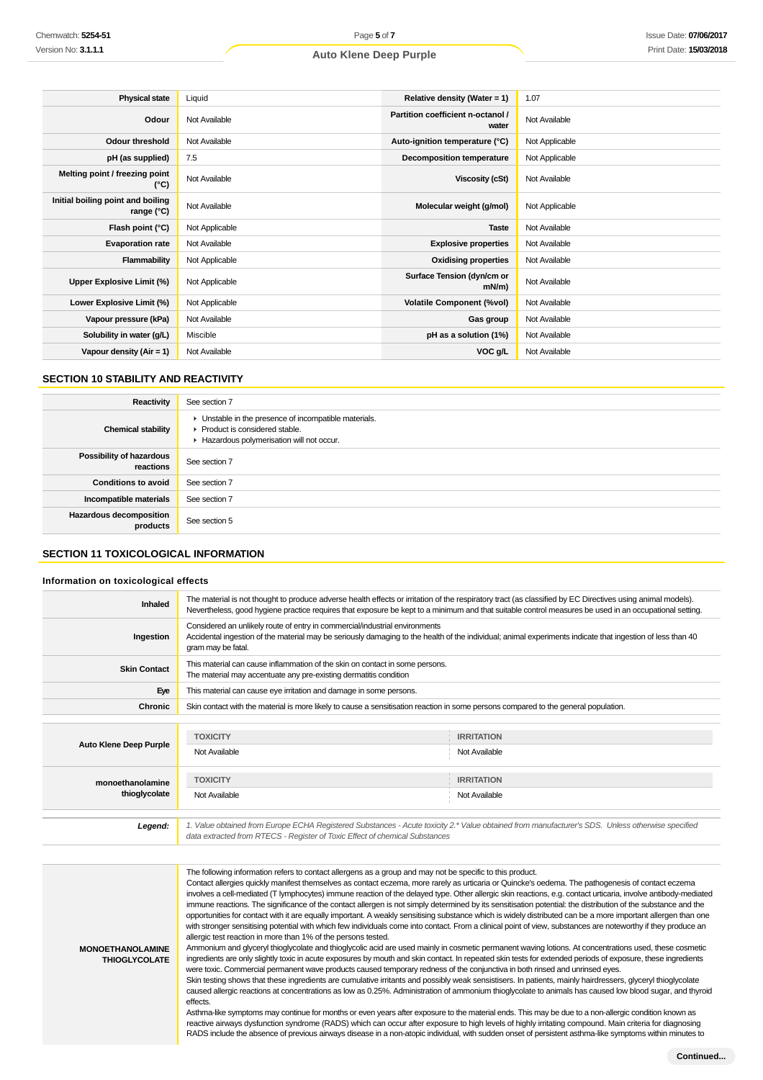| <b>Physical state</b>                           | Liquid         | Relative density (Water = $1$ )            | 1.07           |
|-------------------------------------------------|----------------|--------------------------------------------|----------------|
| Odour                                           | Not Available  | Partition coefficient n-octanol /<br>water | Not Available  |
| <b>Odour threshold</b>                          | Not Available  | Auto-ignition temperature (°C)             | Not Applicable |
| pH (as supplied)                                | 7.5            | Decomposition temperature                  | Not Applicable |
| Melting point / freezing point<br>(°C)          | Not Available  | Viscosity (cSt)                            | Not Available  |
| Initial boiling point and boiling<br>range (°C) | Not Available  | Molecular weight (g/mol)                   | Not Applicable |
| Flash point (°C)                                | Not Applicable | <b>Taste</b>                               | Not Available  |
| <b>Evaporation rate</b>                         | Not Available  | <b>Explosive properties</b>                | Not Available  |
| Flammability                                    | Not Applicable | <b>Oxidising properties</b>                | Not Available  |
| Upper Explosive Limit (%)                       | Not Applicable | Surface Tension (dyn/cm or<br>$mN/m$ )     | Not Available  |
| Lower Explosive Limit (%)                       | Not Applicable | <b>Volatile Component (%vol)</b>           | Not Available  |
| Vapour pressure (kPa)                           | Not Available  | Gas group                                  | Not Available  |
| Solubility in water (g/L)                       | Miscible       | pH as a solution (1%)                      | Not Available  |
| Vapour density $(Air = 1)$                      | Not Available  | VOC g/L                                    | Not Available  |

## **SECTION 10 STABILITY AND REACTIVITY**

| Reactivity                                   | See section 7                                                                                                                        |
|----------------------------------------------|--------------------------------------------------------------------------------------------------------------------------------------|
| <b>Chemical stability</b>                    | • Unstable in the presence of incompatible materials.<br>▶ Product is considered stable.<br>Hazardous polymerisation will not occur. |
| <b>Possibility of hazardous</b><br>reactions | See section 7                                                                                                                        |
| <b>Conditions to avoid</b>                   | See section 7                                                                                                                        |
| Incompatible materials                       | See section 7                                                                                                                        |
| <b>Hazardous decomposition</b><br>products   | See section 5                                                                                                                        |

#### **SECTION 11 TOXICOLOGICAL INFORMATION**

#### **Information on toxicological effects**

| Inhaled                       | The material is not thought to produce adverse health effects or irritation of the respiratory tract (as classified by EC Directives using animal models).                                                                                                      | Nevertheless, good hygiene practice requires that exposure be kept to a minimum and that suitable control measures be used in an occupational setting. |  |
|-------------------------------|-----------------------------------------------------------------------------------------------------------------------------------------------------------------------------------------------------------------------------------------------------------------|--------------------------------------------------------------------------------------------------------------------------------------------------------|--|
| Ingestion                     | Considered an unlikely route of entry in commercial/industrial environments<br>Accidental ingestion of the material may be seriously damaging to the health of the individual; animal experiments indicate that ingestion of less than 40<br>gram may be fatal. |                                                                                                                                                        |  |
| <b>Skin Contact</b>           | This material can cause inflammation of the skin on contact in some persons.<br>The material may accentuate any pre-existing dermatitis condition                                                                                                               |                                                                                                                                                        |  |
| Eye                           | This material can cause eye irritation and damage in some persons.                                                                                                                                                                                              |                                                                                                                                                        |  |
| <b>Chronic</b>                | Skin contact with the material is more likely to cause a sensitisation reaction in some persons compared to the general population.                                                                                                                             |                                                                                                                                                        |  |
|                               |                                                                                                                                                                                                                                                                 |                                                                                                                                                        |  |
| <b>Auto Klene Deep Purple</b> | <b>TOXICITY</b><br>Not Available                                                                                                                                                                                                                                | <b>IRRITATION</b><br>Not Available                                                                                                                     |  |
| monoethanolamine              | <b>TOXICITY</b>                                                                                                                                                                                                                                                 | <b>IRRITATION</b>                                                                                                                                      |  |
| thioglycolate                 | Not Available                                                                                                                                                                                                                                                   | Not Available                                                                                                                                          |  |
|                               |                                                                                                                                                                                                                                                                 |                                                                                                                                                        |  |
| Legend:                       | data extracted from RTECS - Register of Toxic Effect of chemical Substances                                                                                                                                                                                     | 1. Value obtained from Europe ECHA Registered Substances - Acute toxicity 2.* Value obtained from manufacturer's SDS. Unless otherwise specified       |  |
|                               |                                                                                                                                                                                                                                                                 |                                                                                                                                                        |  |
|                               | The following information refers to contact allergens as a group and may not be specific to this product.                                                                                                                                                       |                                                                                                                                                        |  |

Contact allergies quickly manifest themselves as contact eczema, more rarely as urticaria or Quincke's oedema. The pathogenesis of contact eczema involves a cell-mediated (T lymphocytes) immune reaction of the delayed type. Other allergic skin reactions, e.g. contact urticaria, involve antibody-mediated immune reactions. The significance of the contact allergen is not simply determined by its sensitisation potential: the distribution of the substance and the opportunities for contact with it are equally important. A weakly sensitising substance which is widely distributed can be a more important allergen than one with stronger sensitising potential with which few individuals come into contact. From a clinical point of view, substances are noteworthy if they produce an allergic test reaction in more than 1% of the persons tested. Ammonium and glyceryl thioglycolate and thioglycolic acid are used mainly in cosmetic permanent waving lotions. At concentrations used, these cosmetic ingredients are only slightly toxic in acute exposures by mouth and skin contact. In repeated skin tests for extended periods of exposure, these ingredients

**MONOETHANOLAMINE THIOGLYCOLATE**

were toxic. Commercial permanent wave products caused temporary redness of the conjunctiva in both rinsed and unrinsed eyes. Skin testing shows that these ingredients are cumulative irritants and possibly weak sensistisers. In patients, mainly hairdressers, glyceryl thioglycolate caused allergic reactions at concentrations as low as 0.25%. Administration of ammonium thioglycolate to animals has caused low blood sugar, and thyroid effects.

Asthma-like symptoms may continue for months or even years after exposure to the material ends. This may be due to a non-allergic condition known as reactive airways dysfunction syndrome (RADS) which can occur after exposure to high levels of highly irritating compound. Main criteria for diagnosing RADS include the absence of previous airways disease in a non-atopic individual, with sudden onset of persistent asthma-like symptoms within minutes to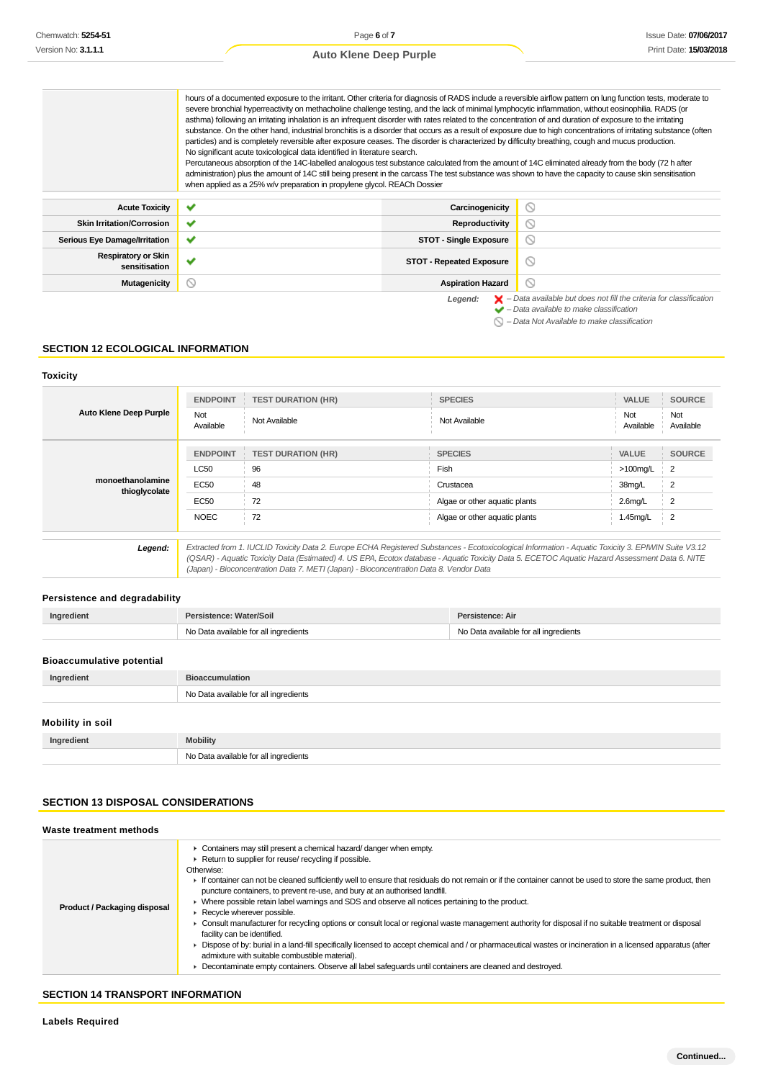|                                             | hours of a documented exposure to the irritant. Other criteria for diagnosis of RADS include a reversible airflow pattern on lung function tests, moderate to<br>severe bronchial hyperreactivity on methacholine challenge testing, and the lack of minimal lymphocytic inflammation, without eosinophilia. RADS (or<br>asthma) following an irritating inhalation is an infrequent disorder with rates related to the concentration of and duration of exposure to the irritating<br>particles) and is completely reversible after exposure ceases. The disorder is characterized by difficulty breathing, cough and mucus production.<br>No significant acute toxicological data identified in literature search.<br>Percutaneous absorption of the 14C-labelled analogous test substance calculated from the amount of 14C eliminated already from the body (72 h after<br>administration) plus the amount of 14C still being present in the carcass The test substance was shown to have the capacity to cause skin sensitisation<br>when applied as a 25% w/v preparation in propylene glycol. REACh Dossier |                                 | substance. On the other hand, industrial bronchitis is a disorder that occurs as a result of exposure due to high concentrations of irritating substance (often |
|---------------------------------------------|--------------------------------------------------------------------------------------------------------------------------------------------------------------------------------------------------------------------------------------------------------------------------------------------------------------------------------------------------------------------------------------------------------------------------------------------------------------------------------------------------------------------------------------------------------------------------------------------------------------------------------------------------------------------------------------------------------------------------------------------------------------------------------------------------------------------------------------------------------------------------------------------------------------------------------------------------------------------------------------------------------------------------------------------------------------------------------------------------------------------|---------------------------------|-----------------------------------------------------------------------------------------------------------------------------------------------------------------|
| <b>Acute Toxicity</b>                       | $\checkmark$                                                                                                                                                                                                                                                                                                                                                                                                                                                                                                                                                                                                                                                                                                                                                                                                                                                                                                                                                                                                                                                                                                       | Carcinogenicity                 | Q                                                                                                                                                               |
|                                             |                                                                                                                                                                                                                                                                                                                                                                                                                                                                                                                                                                                                                                                                                                                                                                                                                                                                                                                                                                                                                                                                                                                    |                                 |                                                                                                                                                                 |
| <b>Skin Irritation/Corrosion</b>            | $\checkmark$                                                                                                                                                                                                                                                                                                                                                                                                                                                                                                                                                                                                                                                                                                                                                                                                                                                                                                                                                                                                                                                                                                       | <b>Reproductivity</b>           | ⊚                                                                                                                                                               |
| <b>Serious Eye Damage/Irritation</b>        | $\checkmark$                                                                                                                                                                                                                                                                                                                                                                                                                                                                                                                                                                                                                                                                                                                                                                                                                                                                                                                                                                                                                                                                                                       | <b>STOT - Single Exposure</b>   | ல                                                                                                                                                               |
| <b>Respiratory or Skin</b><br>sensitisation | $\checkmark$                                                                                                                                                                                                                                                                                                                                                                                                                                                                                                                                                                                                                                                                                                                                                                                                                                                                                                                                                                                                                                                                                                       | <b>STOT - Repeated Exposure</b> | $\circlearrowright$                                                                                                                                             |
| Mutagenicity                                | $\circ$                                                                                                                                                                                                                                                                                                                                                                                                                                                                                                                                                                                                                                                                                                                                                                                                                                                                                                                                                                                                                                                                                                            | <b>Aspiration Hazard</b>        | ⊚                                                                                                                                                               |
|                                             |                                                                                                                                                                                                                                                                                                                                                                                                                                                                                                                                                                                                                                                                                                                                                                                                                                                                                                                                                                                                                                                                                                                    | Legend:                         | $\blacktriangleright$ - Data available but does not fill the criteria for classification<br>$\blacktriangleright$ - Data available to make classification       |

 $\bigcirc$  – Data Not Available to make classification

#### **SECTION 12 ECOLOGICAL INFORMATION**

## **Toxicity**

| <b>Auto Klene Deep Purple</b>     | <b>ENDPOINT</b><br>Not<br>Available | <b>TEST DURATION (HR)</b><br>Not Available                                                                                                                                                                                                                                                                                                                                                      | <b>SPECIES</b><br>Not Available | <b>VALUE</b><br>Not<br>Available | <b>SOURCE</b><br>Not<br>Available |
|-----------------------------------|-------------------------------------|-------------------------------------------------------------------------------------------------------------------------------------------------------------------------------------------------------------------------------------------------------------------------------------------------------------------------------------------------------------------------------------------------|---------------------------------|----------------------------------|-----------------------------------|
|                                   | <b>ENDPOINT</b>                     | <b>TEST DURATION (HR)</b>                                                                                                                                                                                                                                                                                                                                                                       | <b>SPECIES</b>                  | <b>VALUE</b>                     | <b>SOURCE</b>                     |
| monoethanolamine<br>thioglycolate | <b>LC50</b><br>EC50                 | 96<br>48                                                                                                                                                                                                                                                                                                                                                                                        | Fish<br>Crustacea               | $>100$ mg/L<br>38mg/L            | - 2<br>2                          |
|                                   | EC50                                | 72                                                                                                                                                                                                                                                                                                                                                                                              | Algae or other aquatic plants   | $2.6$ mg/L                       | $\overline{2}$                    |
|                                   | <b>NOEC</b>                         | 72                                                                                                                                                                                                                                                                                                                                                                                              | Algae or other aquatic plants   | 1.45mg/L                         | $\overline{2}$                    |
| Legend:                           |                                     | Extracted from 1. IUCLID Toxicity Data 2. Europe ECHA Registered Substances - Ecotoxicological Information - Aquatic Toxicity 3. EPIWIN Suite V3.12<br>(QSAR) - Aquatic Toxicity Data (Estimated) 4. US EPA, Ecotox database - Aquatic Toxicity Data 5. ECETOC Aquatic Hazard Assessment Data 6. NITE<br>(Japan) - Bioconcentration Data 7. METI (Japan) - Bioconcentration Data 8. Vendor Data |                                 |                                  |                                   |

## **Persistence and degradability**

| No Data available for all ingredients<br>No Data available for all ingredients |  |
|--------------------------------------------------------------------------------|--|
|                                                                                |  |
| <b>Bioaccumulative potential</b>                                               |  |

| In<br>מחו |                       |
|-----------|-----------------------|
|           | <b>N<sub>IO</sub></b> |

## **Mobility in soil**

| Ingredient | <b>Mobility</b>                            |
|------------|--------------------------------------------|
|            | No Data available for all ingredients<br>. |

## **SECTION 13 DISPOSAL CONSIDERATIONS**

## **Waste treatment methods**

| Product / Packaging disposal | • Containers may still present a chemical hazard/ danger when empty.<br>▶ Return to supplier for reuse/ recycling if possible.<br>Otherwise:<br>If container can not be cleaned sufficiently well to ensure that residuals do not remain or if the container cannot be used to store the same product, then<br>puncture containers, to prevent re-use, and bury at an authorised landfill.<br>► Where possible retain label warnings and SDS and observe all notices pertaining to the product.<br>Recycle wherever possible.<br>► Consult manufacturer for recycling options or consult local or regional waste management authority for disposal if no suitable treatment or disposal<br>facility can be identified.<br>▶ Dispose of by: burial in a land-fill specifically licensed to accept chemical and / or pharmaceutical wastes or incineration in a licensed apparatus (after<br>admixture with suitable combustible material).<br>• Decontaminate empty containers. Observe all label safeguards until containers are cleaned and destroyed. |
|------------------------------|---------------------------------------------------------------------------------------------------------------------------------------------------------------------------------------------------------------------------------------------------------------------------------------------------------------------------------------------------------------------------------------------------------------------------------------------------------------------------------------------------------------------------------------------------------------------------------------------------------------------------------------------------------------------------------------------------------------------------------------------------------------------------------------------------------------------------------------------------------------------------------------------------------------------------------------------------------------------------------------------------------------------------------------------------------|
|------------------------------|---------------------------------------------------------------------------------------------------------------------------------------------------------------------------------------------------------------------------------------------------------------------------------------------------------------------------------------------------------------------------------------------------------------------------------------------------------------------------------------------------------------------------------------------------------------------------------------------------------------------------------------------------------------------------------------------------------------------------------------------------------------------------------------------------------------------------------------------------------------------------------------------------------------------------------------------------------------------------------------------------------------------------------------------------------|

## **SECTION 14 TRANSPORT INFORMATION**